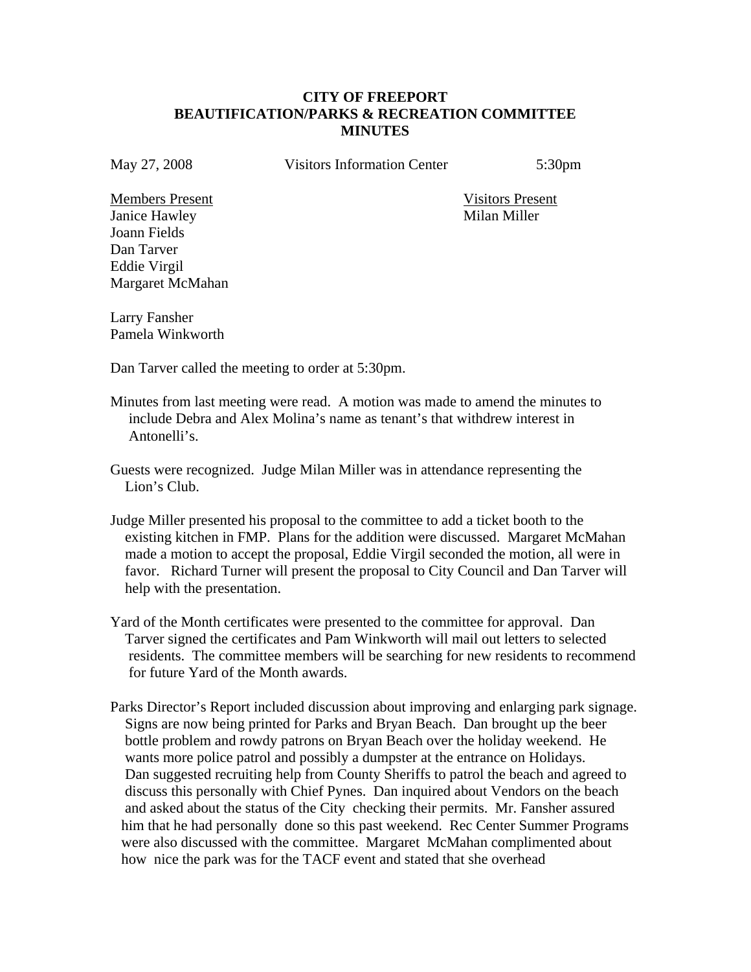## **CITY OF FREEPORT BEAUTIFICATION/PARKS & RECREATION COMMITTEE MINUTES**

May 27, 2008 Visitors Information Center 5:30pm

Members Present Visitors Present Janice Hawley Milan Miller Joann Fields Dan Tarver Eddie Virgil Margaret McMahan

Larry Fansher Pamela Winkworth

Dan Tarver called the meeting to order at 5:30pm.

- Minutes from last meeting were read. A motion was made to amend the minutes to include Debra and Alex Molina's name as tenant's that withdrew interest in Antonelli's.
- Guests were recognized. Judge Milan Miller was in attendance representing the Lion's Club.
- Judge Miller presented his proposal to the committee to add a ticket booth to the existing kitchen in FMP. Plans for the addition were discussed. Margaret McMahan made a motion to accept the proposal, Eddie Virgil seconded the motion, all were in favor. Richard Turner will present the proposal to City Council and Dan Tarver will help with the presentation.
- Yard of the Month certificates were presented to the committee for approval. Dan Tarver signed the certificates and Pam Winkworth will mail out letters to selected residents. The committee members will be searching for new residents to recommend for future Yard of the Month awards.
- Parks Director's Report included discussion about improving and enlarging park signage. Signs are now being printed for Parks and Bryan Beach. Dan brought up the beer bottle problem and rowdy patrons on Bryan Beach over the holiday weekend. He wants more police patrol and possibly a dumpster at the entrance on Holidays. Dan suggested recruiting help from County Sheriffs to patrol the beach and agreed to discuss this personally with Chief Pynes. Dan inquired about Vendors on the beach and asked about the status of the City checking their permits. Mr. Fansher assured him that he had personally done so this past weekend. Rec Center Summer Programs were also discussed with the committee. Margaret McMahan complimented about how nice the park was for the TACF event and stated that she overhead